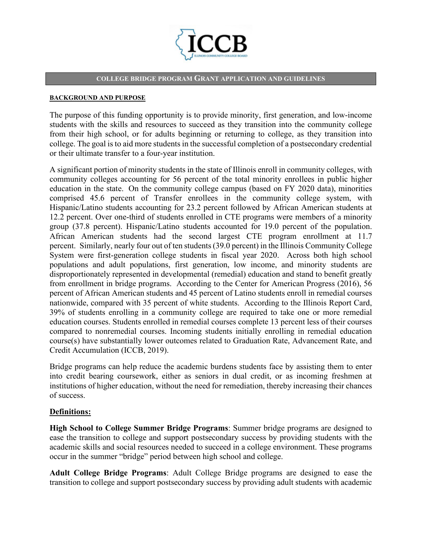

#### **COLLEGE BRIDGE PROGRAM GRANT APPLICATION AND GUIDELINES**

#### **BACKGROUND AND PURPOSE**

The purpose of this funding opportunity is to provide minority, first generation, and low-income students with the skills and resources to succeed as they transition into the community college from their high school, or for adults beginning or returning to college, as they transition into college. The goal is to aid more students in the successful completion of a postsecondary credential or their ultimate transfer to a four-year institution.

A significant portion of minority students in the state of Illinois enroll in community colleges, with community colleges accounting for 56 percent of the total minority enrollees in public higher education in the state. On the community college campus (based on FY 2020 data), minorities comprised 45.6 percent of Transfer enrollees in the community college system, with Hispanic/Latino students accounting for 23.2 percent followed by African American students at 12.2 percent. Over one-third of students enrolled in CTE programs were members of a minority group (37.8 percent). Hispanic/Latino students accounted for 19.0 percent of the population. African American students had the second largest CTE program enrollment at 11.7 percent. Similarly, nearly four out of ten students (39.0 percent) in the Illinois Community College System were first-generation college students in fiscal year 2020. Across both high school populations and adult populations, first generation, low income, and minority students are disproportionately represented in developmental (remedial) education and stand to benefit greatly from enrollment in bridge programs. According to the Center for American Progress (2016), 56 percent of African American students and 45 percent of Latino students enroll in remedial courses nationwide, compared with 35 percent of white students. According to the Illinois Report Card, 39% of students enrolling in a community college are required to take one or more remedial education courses. Students enrolled in remedial courses complete 13 percent less of their courses compared to nonremedial courses. Incoming students initially enrolling in remedial education course(s) have substantially lower outcomes related to Graduation Rate, Advancement Rate, and Credit Accumulation (ICCB, 2019).

Bridge programs can help reduce the academic burdens students face by assisting them to enter into credit bearing coursework, either as seniors in dual credit, or as incoming freshmen at institutions of higher education, without the need for remediation, thereby increasing their chances of success.

### **Definitions:**

**High School to College Summer Bridge Programs**: Summer bridge programs are designed to ease the transition to college and support postsecondary success by providing students with the academic skills and social resources needed to succeed in a college environment. These programs occur in the summer "bridge" period between high school and college.

**Adult College Bridge Programs**: Adult College Bridge programs are designed to ease the transition to college and support postsecondary success by providing adult students with academic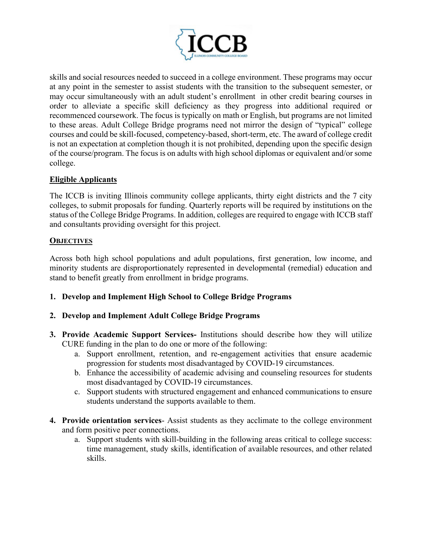

skills and social resources needed to succeed in a college environment. These programs may occur at any point in the semester to assist students with the transition to the subsequent semester, or may occur simultaneously with an adult student's enrollment in other credit bearing courses in order to alleviate a specific skill deficiency as they progress into additional required or recommenced coursework. The focus is typically on math or English, but programs are not limited to these areas. Adult College Bridge programs need not mirror the design of "typical" college courses and could be skill-focused, competency-based, short-term, etc. The award of college credit is not an expectation at completion though it is not prohibited, depending upon the specific design of the course/program. The focus is on adults with high school diplomas or equivalent and/or some college.

# **Eligible Applicants**

The ICCB is inviting Illinois community college applicants, thirty eight districts and the 7 city colleges, to submit proposals for funding. Quarterly reports will be required by institutions on the status of the College Bridge Programs. In addition, colleges are required to engage with ICCB staff and consultants providing oversight for this project.

### **OBJECTIVES**

Across both high school populations and adult populations, first generation, low income, and minority students are disproportionately represented in developmental (remedial) education and stand to benefit greatly from enrollment in bridge programs.

**1. Develop and Implement High School to College Bridge Programs**

# **2. Develop and Implement Adult College Bridge Programs**

- **3. Provide Academic Support Services-** Institutions should describe how they will utilize CURE funding in the plan to do one or more of the following:
	- a. Support enrollment, retention, and re-engagement activities that ensure academic progression for students most disadvantaged by COVID-19 circumstances.
	- b. Enhance the accessibility of academic advising and counseling resources for students most disadvantaged by COVID-19 circumstances.
	- c. Support students with structured engagement and enhanced communications to ensure students understand the supports available to them.
- **4. Provide orientation services** Assist students as they acclimate to the college environment and form positive peer connections.
	- a. Support students with skill-building in the following areas critical to college success: time management, study skills, identification of available resources, and other related skills.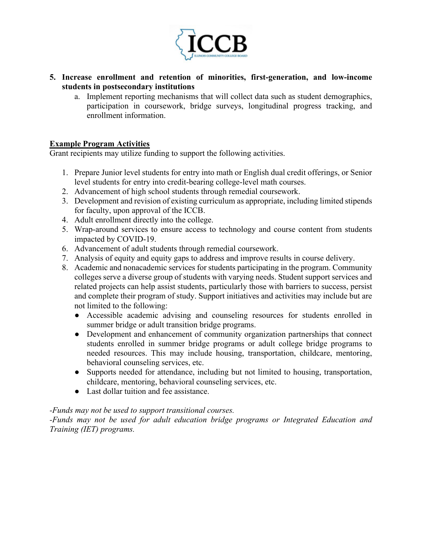

- **5. Increase enrollment and retention of minorities, first-generation, and low-income students in postsecondary institutions**
	- a. Implement reporting mechanisms that will collect data such as student demographics, participation in coursework, bridge surveys, longitudinal progress tracking, and enrollment information.

# **Example Program Activities**

Grant recipients may utilize funding to support the following activities.

- 1. Prepare Junior level students for entry into math or English dual credit offerings, or Senior level students for entry into credit-bearing college-level math courses.
- 2. Advancement of high school students through remedial coursework.
- 3. Development and revision of existing curriculum as appropriate, including limited stipends for faculty, upon approval of the ICCB.
- 4. Adult enrollment directly into the college.
- 5. Wrap-around services to ensure access to technology and course content from students impacted by COVID-19.
- 6. Advancement of adult students through remedial coursework.
- 7. Analysis of equity and equity gaps to address and improve results in course delivery.
- 8. Academic and nonacademic services for students participating in the program. Community colleges serve a diverse group of students with varying needs. Student support services and related projects can help assist students, particularly those with barriers to success, persist and complete their program of study. Support initiatives and activities may include but are not limited to the following:
	- Accessible academic advising and counseling resources for students enrolled in summer bridge or adult transition bridge programs.
	- Development and enhancement of community organization partnerships that connect students enrolled in summer bridge programs or adult college bridge programs to needed resources. This may include housing, transportation, childcare, mentoring, behavioral counseling services, etc.
	- Supports needed for attendance, including but not limited to housing, transportation, childcare, mentoring, behavioral counseling services, etc.
	- Last dollar tuition and fee assistance.

### *-Funds may not be used to support transitional courses.*

*-Funds may not be used for adult education bridge programs or Integrated Education and Training (IET) programs.*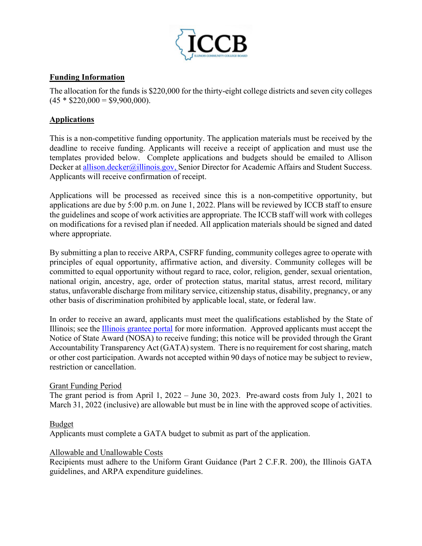

# **Funding Information**

The allocation for the funds is \$220,000 for the thirty-eight college districts and seven city colleges  $(45 * $220,000 = $9,900,000).$ 

# **Applications**

This is a non-competitive funding opportunity. The application materials must be received by the deadline to receive funding. Applicants will receive a receipt of application and must use the templates provided below. Complete applications and budgets should be emailed to Allison Decker at [allison.decker@illinois.gov,](mailto:allison.decker@illinois.gov) Senior Director for Academic Affairs and Student Success. Applicants will receive confirmation of receipt.

Applications will be processed as received since this is a non-competitive opportunity, but applications are due by 5:00 p.m. on June 1, 2022. Plans will be reviewed by ICCB staff to ensure the guidelines and scope of work activities are appropriate. The ICCB staff will work with colleges on modifications for a revised plan if needed. All application materials should be signed and dated where appropriate.

By submitting a plan to receive ARPA, CSFRF funding, community colleges agree to operate with principles of equal opportunity, affirmative action, and diversity. Community colleges will be committed to equal opportunity without regard to race, color, religion, gender, sexual orientation, national origin, ancestry, age, order of protection status, marital status, arrest record, military status, unfavorable discharge from military service, citizenship status, disability, pregnancy, or any other basis of discrimination prohibited by applicable local, state, or federal law.

In order to receive an award, applicants must meet the qualifications established by the State of Illinois; see the [Illinois grantee portal](file://iccbfile/Quattro/Grants%20Management/FY22%20Grants/COLLEGE%20BRIDGE%20PROGRAM_CBP/Program%20Templates/grants.illinois.gov/portal) for more information. Approved applicants must accept the Notice of State Award (NOSA) to receive funding; this notice will be provided through the Grant Accountability Transparency Act (GATA) system. There is no requirement for cost sharing, match or other cost participation. Awards not accepted within 90 days of notice may be subject to review, restriction or cancellation.

### Grant Funding Period

The grant period is from April 1, 2022 – June 30, 2023. Pre-award costs from July 1, 2021 to March 31, 2022 (inclusive) are allowable but must be in line with the approved scope of activities.

# Budget

Applicants must complete a GATA budget to submit as part of the application.

### Allowable and Unallowable Costs

Recipients must adhere to the Uniform Grant Guidance (Part 2 C.F.R. 200), the Illinois GATA guidelines, and ARPA expenditure guidelines.